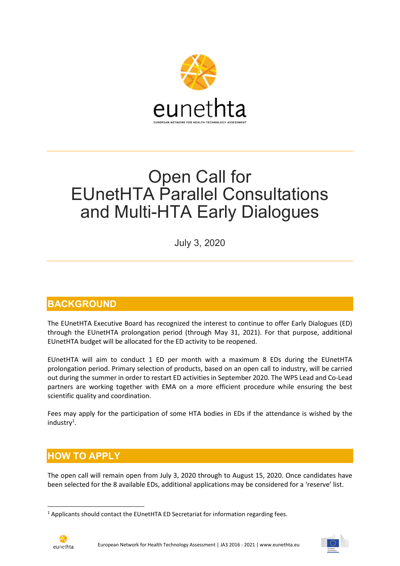

# Open Call for EUnetHTA Parallel Consultations and Multi-HTA Early Dialogues

July 3, 2020

### **BACKGROUND**

The EUnetHTA Executive Board has recognized the interest to continue to offer Early Dialogues (ED) through the EUnetHTA prolongation period (through May 31, 2021). For that purpose, additional EUnetHTA budget will be allocated for the ED activity to be reopened.

EUnetHTA will aim to conduct 1 ED per month with a maximum 8 EDs during the EUnetHTA prolongation period. Primary selection of products, based on an open call to industry, will be carried out during the summer in order to restart ED activities in September 2020. The WP5 Lead and Co-Lead partners are working together with EMA on a more efficient procedure while ensuring the best scientific quality and coordination.

Fees may apply for the participation of some HTA bodies in EDs if the attendance is wished by the industry<sup>1</sup>.

### HOW TO APPLY

The open call will remain open from July 3, 2020 through to August 15, 2020. Once candidates have been selected for the 8 available EDs, additional applications may be considered for a 'reserve' list.

 $<sup>1</sup>$  Applicants should contact the EUnetHTA ED Secretariat for information regarding fees.</sup>

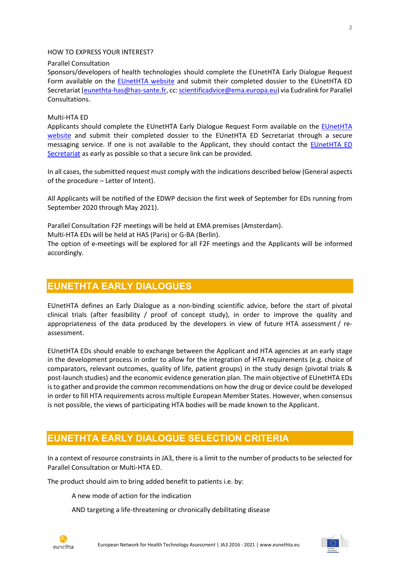#### HOW TO EXPRESS YOUR INTEREST?

#### Parallel Consultation

Sponsors/developers of health technologies should complete the EUnetHTA Early Dialogue Request Form available on the **EUnetHTA website** and submit their completed dossier to the EUnetHTA ED Secretariat (eunethta-has@has-sante.fr, cc: scientificadvice@ema.europa.eu) via Eudralink for Parallel Consultations.

### Multi-HTA ED

Applicants should complete the EUnetHTA Early Dialogue Request Form available on the EUnetHTA website and submit their completed dossier to the EUnetHTA ED Secretariat through a secure messaging service. If one is not available to the Applicant, they should contact the EUnetHTA ED Secretariat as early as possible so that a secure link can be provided.

In all cases, the submitted request must comply with the indications described below (General aspects of the procedure – Letter of Intent).

All Applicants will be notified of the EDWP decision the first week of September for EDs running from September 2020 through May 2021).

Parallel Consultation F2F meetings will be held at EMA premises (Amsterdam).

Multi-HTA EDs will be held at HAS (Paris) or G-BA (Berlin).

The option of e-meetings will be explored for all F2F meetings and the Applicants will be informed accordingly.

### EUNETHTA EARLY DIALOGUES

EUnetHTA defines an Early Dialogue as a non-binding scientific advice, before the start of pivotal clinical trials (after feasibility / proof of concept study), in order to improve the quality and appropriateness of the data produced by the developers in view of future HTA assessment / reassessment.

EUnetHTA EDs should enable to exchange between the Applicant and HTA agencies at an early stage in the development process in order to allow for the integration of HTA requirements (e.g. choice of comparators, relevant outcomes, quality of life, patient groups) in the study design (pivotal trials & post-launch studies) and the economic evidence generation plan. The main objective of EUnetHTA EDs is to gather and provide the common recommendations on how the drug or device could be developed in order to fill HTA requirements across multiple European Member States. However, when consensus is not possible, the views of participating HTA bodies will be made known to the Applicant.

### EUNETHTA EARLY DIALOGUE SELECTION CRITERIA

In a context of resource constraints in JA3, there is a limit to the number of products to be selected for Parallel Consultation or Multi-HTA ED.

The product should aim to bring added benefit to patients i.e. by:

A new mode of action for the indication

AND targeting a life-threatening or chronically debilitating disease

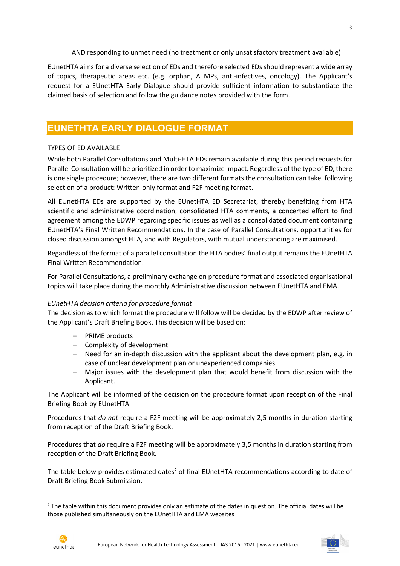AND responding to unmet need (no treatment or only unsatisfactory treatment available)

EUnetHTA aims for a diverse selection of EDs and therefore selected EDs should represent a wide array of topics, therapeutic areas etc. (e.g. orphan, ATMPs, anti-infectives, oncology). The Applicant's request for a EUnetHTA Early Dialogue should provide sufficient information to substantiate the claimed basis of selection and follow the guidance notes provided with the form.

### EUNETHTA EARLY DIALOGUE FORMAT

#### TYPES OF ED AVAILABLE

While both Parallel Consultations and Multi-HTA EDs remain available during this period requests for Parallel Consultation will be prioritized in order to maximize impact. Regardless of the type of ED, there is one single procedure; however, there are two different formats the consultation can take, following selection of a product: Written-only format and F2F meeting format.

All EUnetHTA EDs are supported by the EUnetHTA ED Secretariat, thereby benefiting from HTA scientific and administrative coordination, consolidated HTA comments, a concerted effort to find agreement among the EDWP regarding specific issues as well as a consolidated document containing EUnetHTA's Final Written Recommendations. In the case of Parallel Consultations, opportunities for closed discussion amongst HTA, and with Regulators, with mutual understanding are maximised.

Regardless of the format of a parallel consultation the HTA bodies' final output remains the EUnetHTA Final Written Recommendation.

For Parallel Consultations, a preliminary exchange on procedure format and associated organisational topics will take place during the monthly Administrative discussion between EUnetHTA and EMA.

#### EUnetHTA decision criteria for procedure format

The decision as to which format the procedure will follow will be decided by the EDWP after review of the Applicant's Draft Briefing Book. This decision will be based on:

- PRIME products
- Complexity of development
- Need for an in-depth discussion with the applicant about the development plan, e.g. in case of unclear development plan or unexperienced companies
- Major issues with the development plan that would benefit from discussion with the Applicant.

The Applicant will be informed of the decision on the procedure format upon reception of the Final Briefing Book by EUnetHTA.

Procedures that do not require a F2F meeting will be approximately 2,5 months in duration starting from reception of the Draft Briefing Book.

Procedures that do require a F2F meeting will be approximately 3,5 months in duration starting from reception of the Draft Briefing Book.

The table below provides estimated dates<sup>2</sup> of final EUnetHTA recommendations according to date of Draft Briefing Book Submission.

European Network for Health Technology Assessment | JA3 2016 - 2021 | www.eunethta.eu



 $2$  The table within this document provides only an estimate of the dates in question. The official dates will be those published simultaneously on the EUnetHTA and EMA websites